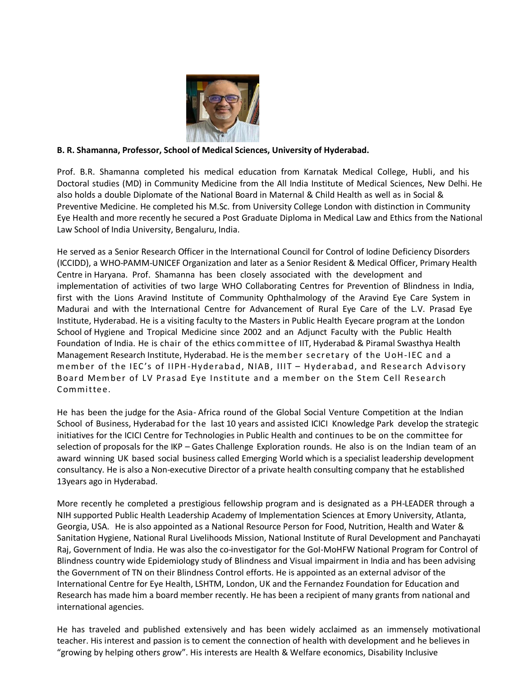

## **B. R. Shamanna, Professor, School of Medical Sciences, University of Hyderabad.**

Prof. B.R. Shamanna completed his medical education from Karnatak Medical College, Hubli, and his Doctoral studies (MD) in Community Medicine from the All India Institute of Medical Sciences, New Delhi. He also holds a double Diplomate of the National Board in Maternal & Child Health as well as in Social & Preventive Medicine. He completed his M.Sc. from University College London with distinction in Community Eye Health and more recently he secured a Post Graduate Diploma in Medical Law and Ethics from the National Law School of India University, Bengaluru, India.

He served as a Senior Research Officer in the International Council for Control of Iodine Deficiency Disorders (ICCIDD), a WHO-PAMM-UNICEF Organization and later as a Senior Resident & Medical Officer, Primary Health Centre in Haryana. Prof. Shamanna has been closely associated with the development and implementation of activities of two large WHO Collaborating Centres for Prevention of Blindness in India, first with the Lions Aravind Institute of Community Ophthalmology of the Aravind Eye Care System in Madurai and with the International Centre for Advancement of Rural Eye Care of the L.V. Prasad Eye Institute, Hyderabad. He is a visiting faculty to the Masters in Public Health Eyecare program at the London School of Hygiene and Tropical Medicine since 2002 and an Adjunct Faculty with the Public Health Foundation of India. He is chair of the ethics committee of IIT, Hyderabad & Piramal Swasthya Health Management Research Institute, Hyderabad. He is the mem ber secretary of the U oH-I EC and a member of the IEC's of IIPH-Hyderabad, NIAB, IIIT - Hyderabad, and Research Advisory Board Member of LV Prasad Eye Institute and a member on the Stem Cell Research Committee.

He has been the judge for the Asia- Africa round of the Global Social Venture Competition at the Indian School of Business, Hyderabad for the last 10 years and assisted ICICI Knowledge Park develop the strategic initiatives for the ICICI Centre for Technologies in Public Health and continues to be on the committee for selection of proposals for the IKP – Gates Challenge Exploration rounds. He also is on the Indian team of an award winning UK based social business called Emerging World which is a specialist leadership development consultancy. He is also a Non-executive Director of a private health consulting company that he established 13years ago in Hyderabad.

More recently he completed a prestigious fellowship program and is designated as a PH-LEADER through a NIH supported Public Health Leadership Academy of Implementation Sciences at Emory University, Atlanta, Georgia, USA. He is also appointed as a National Resource Person for Food, Nutrition, Health and Water & Sanitation Hygiene, National Rural Livelihoods Mission, National Institute of Rural Development and Panchayati Raj, Government of India. He was also the co-investigator for the GoI-MoHFW National Program for Control of Blindness country wide Epidemiology study of Blindness and Visual impairment in India and has been advising the Government of TN on their Blindness Control efforts. He is appointed as an external advisor of the International Centre for Eye Health, LSHTM, London, UK and the Fernandez Foundation for Education and Research has made him a board member recently. He has been a recipient of many grants from national and international agencies.

He has traveled and published extensively and has been widely acclaimed as an immensely motivational teacher. His interest and passion is to cement the connection of health with development and he believes in "growing by helping others grow". His interests are Health & Welfare economics, Disability Inclusive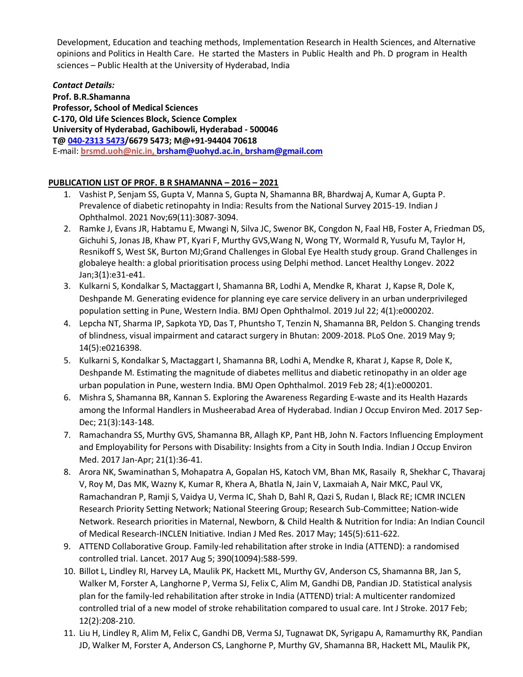Development, Education and teaching methods, Implementation Research in Health Sciences, and Alternative opinions and Politics in Health Care. He started the Masters in Public Health and Ph. D program in Health sciences – Public Health at the University of Hyderabad, India

*Contact Details:* **Prof. B.R.Shamanna Professor, School of Medical Sciences C-170, Old Life Sciences Block, Science Complex University of Hyderabad, Gachibowli, Hyderabad - 500046 T[@ 040-2313](callto:040-2313%205473) 5473/6679 5473; [M@+91-94404](mailto:M@+91-94404) 70618** E-mail: **brsm[d.uoh@nic.in,](mailto:uoh@nic.in) [brsham@uohyd.ac.in,](mailto:brsham@uohyd.ac.in) [brsham@gmail.com](mailto:brsham@gmail.com)**

## **PUBLICATION LIST OF PROF. B R SHAMANNA – 2016 – 2021**

- 1. Vashist P, Senjam SS, Gupta V, Manna S, Gupta N, Shamanna BR, Bhardwaj A, Kumar A, Gupta P. Prevalence of diabetic retinopahty in India: Results from the National Survey 2015-19. Indian J Ophthalmol. 2021 Nov;69(11):3087-3094.
- 2. Ramke J, Evans JR, Habtamu E, Mwangi N, Silva JC, Swenor BK, Congdon N, Faal HB, Foster A, Friedman DS, Gichuhi S, Jonas JB, Khaw PT, Kyari F, Murthy GVS,Wang N, Wong TY, Wormald R, Yusufu M, Taylor H, Resnikoff S, West SK, Burton MJ;Grand Challenges in Global Eye Health study group. Grand Challenges in globaleye health: a global prioritisation process using Delphi method. Lancet Healthy Longev. 2022 Jan;3(1):e31-e41.
- 3. Kulkarni S, Kondalkar S, Mactaggart I, Shamanna BR, Lodhi A, Mendke R, Kharat J, Kapse R, Dole K, Deshpande M. Generating evidence for planning eye care service delivery in an urban underprivileged population setting in Pune, Western India. BMJ Open Ophthalmol. 2019 Jul 22; 4(1):e000202.
- 4. Lepcha NT, Sharma IP, Sapkota YD, Das T, Phuntsho T, Tenzin N, Shamanna BR, Peldon S. Changing trends of blindness, visual impairment and cataract surgery in Bhutan: 2009-2018. PLoS One. 2019 May 9; 14(5):e0216398.
- 5. Kulkarni S, Kondalkar S, Mactaggart I, Shamanna BR, Lodhi A, Mendke R, Kharat J, Kapse R, Dole K, Deshpande M. Estimating the magnitude of diabetes mellitus and diabetic retinopathy in an older age urban population in Pune, western India. BMJ Open Ophthalmol. 2019 Feb 28; 4(1):e000201.
- 6. Mishra S, Shamanna BR, Kannan S. Exploring the Awareness Regarding E-waste and its Health Hazards among the Informal Handlers in Musheerabad Area of Hyderabad. Indian J Occup Environ Med. 2017 Sep-Dec; 21(3):143-148.
- 7. Ramachandra SS, Murthy GVS, Shamanna BR, Allagh KP, Pant HB, John N. Factors Influencing Employment and Employability for Persons with Disability: Insights from a City in South India. Indian J Occup Environ Med. 2017 Jan-Apr; 21(1):36-41.
- 8. Arora NK, Swaminathan S, Mohapatra A, Gopalan HS, Katoch VM, Bhan MK, Rasaily R, Shekhar C, Thavaraj V, Roy M, Das MK, Wazny K, Kumar R, Khera A, Bhatla N, Jain V, Laxmaiah A, Nair MKC, Paul VK, Ramachandran P, Ramji S, Vaidya U, Verma IC, Shah D, Bahl R, Qazi S, Rudan I, Black RE; ICMR INCLEN Research Priority Setting Network; National Steering Group; Research Sub-Committee; Nation-wide Network. Research priorities in Maternal, Newborn, & Child Health & Nutrition for India: An Indian Council of Medical Research-INCLEN Initiative. Indian J Med Res. 2017 May; 145(5):611-622.
- 9. ATTEND Collaborative Group. Family-led rehabilitation after stroke in India (ATTEND): a randomised controlled trial. Lancet. 2017 Aug 5; 390(10094):588-599.
- 10. Billot L, Lindley RI, Harvey LA, Maulik PK, Hackett ML, Murthy GV, Anderson CS, Shamanna BR, Jan S, Walker M, Forster A, Langhorne P, Verma SJ, Felix C, Alim M, Gandhi DB, Pandian JD. Statistical analysis plan for the family-led rehabilitation after stroke in India (ATTEND) trial: A multicenter randomized controlled trial of a new model of stroke rehabilitation compared to usual care. Int J Stroke. 2017 Feb; 12(2):208-210.
- 11. Liu H, Lindley R, Alim M, Felix C, Gandhi DB, Verma SJ, Tugnawat DK, Syrigapu A, Ramamurthy RK, Pandian JD, Walker M, Forster A, Anderson CS, Langhorne P, Murthy GV, Shamanna BR, Hackett ML, Maulik PK,